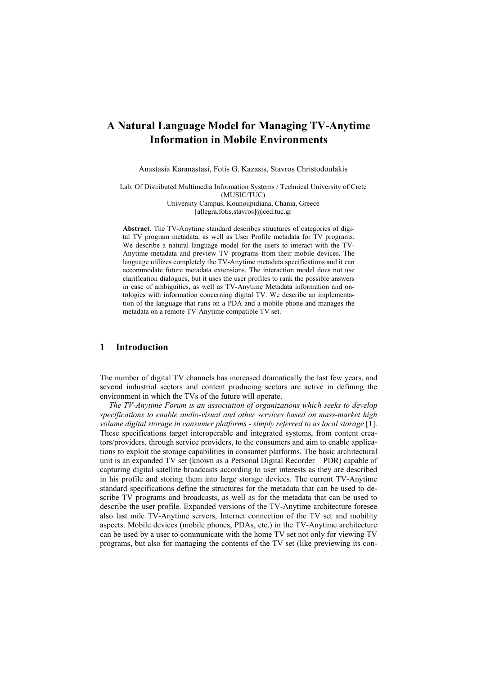# **A Natural Language Model for Managing TV-Anytime Information in Mobile Environments**

Anastasia Karanastasi, Fotis G. Kazasis, Stavros Christodoulakis

Lab. Of Distributed Multimedia Information Systems / Technical University of Crete (MUSIC/TUC) University Campus, Kounoupidiana, Chania, Greece [\[allegra,fotis,stavros\]@ced.tuc.gr](mailto:Email@small.medium.large)

**Abstract.** The TV-Anytime standard describes structures of categories of digital TV program metadata, as well as User Profile metadata for TV programs. We describe a natural language model for the users to interact with the TV-Anytime metadata and preview TV programs from their mobile devices. The language utilizes completely the TV-Anytime metadata specifications and it can accommodate future metadata extensions. The interaction model does not use clarification dialogues, but it uses the user profiles to rank the possible answers in case of ambiguities, as well as TV-Anytime Metadata information and ontologies with information concerning digital TV. We describe an implementation of the language that runs on a PDA and a mobile phone and manages the metadata on a remote TV-Anytime compatible TV set.

# **1 Introduction**

The number of digital TV channels has increased dramatically the last few years, and several industrial sectors and content producing sectors are active in defining the environment in which the TVs of the future will operate.

*The TV-Anytime Forum is an association of organizations which seeks to develop specifications to enable audio-visual and other services based on mass-market high volume digital storage in consumer platforms - simply referred to as local storage* [[1\]](#page-14-0). These specifications target interoperable and integrated systems, from content creators/providers, through service providers, to the consumers and aim to enable applications to exploit the storage capabilities in consumer platforms. The basic architectural unit is an expanded TV set (known as a Personal Digital Recorder – PDR) capable of capturing digital satellite broadcasts according to user interests as they are described in his profile and storing them into large storage devices. The current TV-Anytime standard specifications define the structures for the metadata that can be used to describe TV programs and broadcasts, as well as for the metadata that can be used to describe the user profile. Expanded versions of the TV-Anytime architecture foresee also last mile TV-Anytime servers, Internet connection of the TV set and mobility aspects. Mobile devices (mobile phones, PDAs, etc.) in the TV-Anytime architecture can be used by a user to communicate with the home TV set not only for viewing TV programs, but also for managing the contents of the TV set (like previewing its con-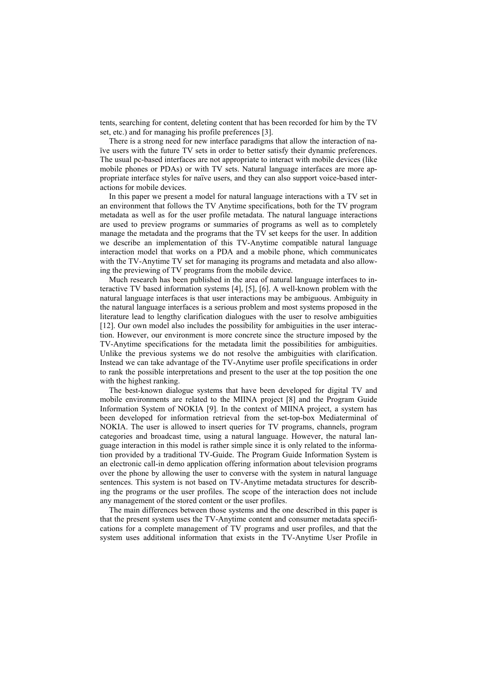tents, searching for content, deleting content that has been recorded for him by the TV set, etc.) and for managing his profile preferences [[3\]](#page-14-1).

There is a strong need for new interface paradigms that allow the interaction of naïve users with the future TV sets in order to better satisfy their dynamic preferences. The usual pc-based interfaces are not appropriate to interact with mobile devices (like mobile phones or PDAs) or with TV sets. Natural language interfaces are more appropriate interface styles for naïve users, and they can also support voice-based interactions for mobile devices.

In this paper we present a model for natural language interactions with a TV set in an environment that follows the TV Anytime specifications, both for the TV program metadata as well as for the user profile metadata. The natural language interactions are used to preview programs or summaries of programs as well as to completely manage the metadata and the programs that the TV set keeps for the user. In addition we describe an implementation of this TV-Anytime compatible natural language interaction model that works on a PDA and a mobile phone, which communicates with the TV-Anytime TV set for managing its programs and metadata and also allowing the previewing of TV programs from the mobile device.

Much research has been published in the area of natural language interfaces to interactive TV based information systems [[4\]](#page-14-2), [[5\]](#page-14-3), [[6\]](#page-14-4). A well-known problem with the natural language interfaces is that user interactions may be ambiguous. Ambiguity in the natural language interfaces is a serious problem and most systems proposed in the literature lead to lengthy clarification dialogues with the user to resolve ambiguities [[12\]](#page-14-5). Our own model also includes the possibility for ambiguities in the user interaction. However, our environment is more concrete since the structure imposed by the TV-Anytime specifications for the metadata limit the possibilities for ambiguities. Unlike the previous systems we do not resolve the ambiguities with clarification. Instead we can take advantage of the TV-Anytime user profile specifications in order to rank the possible interpretations and present to the user at the top position the one with the highest ranking.

The best-known dialogue systems that have been developed for digital TV and mobile environments are related to the MIINA project [[8\]](#page-14-6) and the Program Guide Information System of NOKIA [[9\]](#page-14-7). In the context of MIINA project, a system has been developed for information retrieval from the set-top-box Mediaterminal of NOKIA. The user is allowed to insert queries for TV programs, channels, program categories and broadcast time, using a natural language. However, the natural language interaction in this model is rather simple since it is only related to the information provided by a traditional TV-Guide. The Program Guide Information System is an electronic call-in demo application offering information about television programs over the phone by allowing the user to converse with the system in natural language sentences. This system is not based on TV-Anytime metadata structures for describing the programs or the user profiles. The scope of the interaction does not include any management of the stored content or the user profiles.

The main differences between those systems and the one described in this paper is that the present system uses the TV-Anytime content and consumer metadata specifications for a complete management of TV programs and user profiles, and that the system uses additional information that exists in the TV-Anytime User Profile in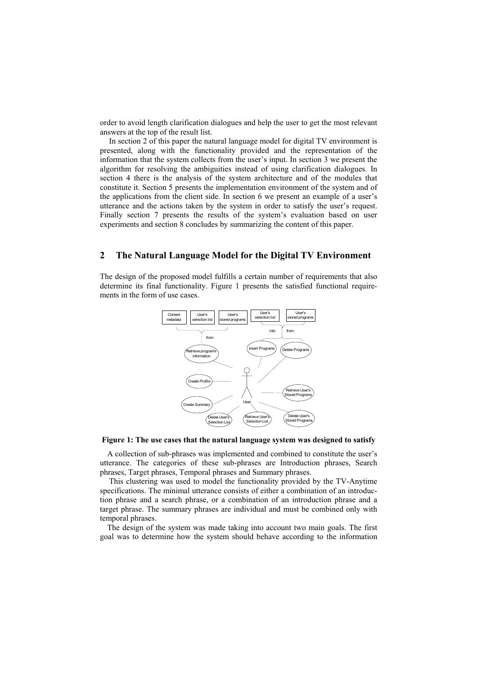order to avoid length clarification dialogues and help the user to get the most relevant answers at the top of the result list.

In section 2 of this paper the natural language model for digital TV environment is presented, along with the functionality provided and the representation of the information that the system collects from the user's input. In section 3 we present the algorithm for resolving the ambiguities instead of using clarification dialogues. In section 4 there is the analysis of the system architecture and of the modules that constitute it. Section 5 presents the implementation environment of the system and of the applications from the client side. In section 6 we present an example of a user's utterance and the actions taken by the system in order to satisfy the user's request. Finally section 7 presents the results of the system's evaluation based on user experiments and section 8 concludes by summarizing the content of this paper.

# **2 The Natural Language Model for the Digital TV Environment**

The design of the proposed model fulfills a certain number of requirements that also determine its final functionality. Figure 1 presents the satisfied functional requirements in the form of use cases.



**Figure 1: The use cases that the natural language system was designed to satisfy** 

A collection of sub-phrases was implemented and combined to constitute the user's utterance. The categories of these sub-phrases are Introduction phrases, Search phrases, Target phrases, Temporal phrases and Summary phrases.

This clustering was used to model the functionality provided by the TV-Anytime specifications. The minimal utterance consists of either a combination of an introduction phrase and a search phrase, or a combination of an introduction phrase and a target phrase. The summary phrases are individual and must be combined only with temporal phrases.

The design of the system was made taking into account two main goals. The first goal was to determine how the system should behave according to the information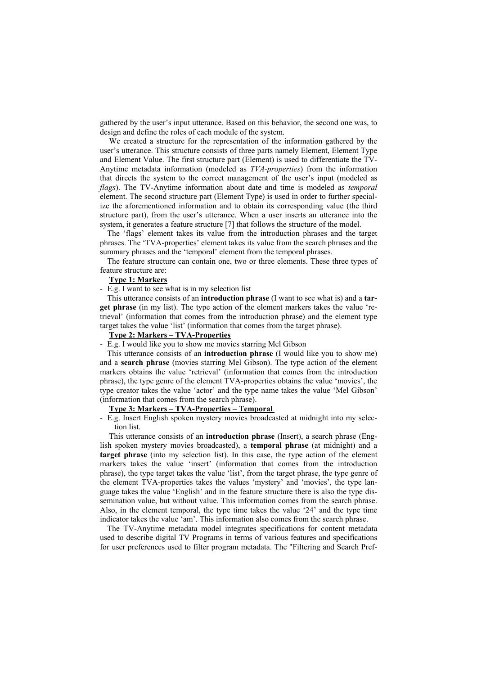gathered by the user's input utterance. Based on this behavior, the second one was, to design and define the roles of each module of the system.

We created a structure for the representation of the information gathered by the user's utterance. This structure consists of three parts namely Element, Element Type and Element Value. The first structure part (Element) is used to differentiate the TV-Anytime metadata information (modeled as *TVA-properties*) from the information that directs the system to the correct management of the user's input (modeled as *flags*). The TV-Anytime information about date and time is modeled as *temporal* element. The second structure part (Element Type) is used in order to further specialize the aforementioned information and to obtain its corresponding value (the third structure part), from the user's utterance. When a user inserts an utterance into the system, it generates a feature structure [\[7\]](#page-14-8) that follows the structure of the model.

The 'flags' element takes its value from the introduction phrases and the target phrases. The 'TVA-properties' element takes its value from the search phrases and the summary phrases and the 'temporal' element from the temporal phrases.

The feature structure can contain one, two or three elements. These three types of feature structure are:

#### **Type 1: Markers**

- E.g. I want to see what is in my selection list

This utterance consists of an **introduction phrase** (I want to see what is) and a **target phrase** (in my list). The type action of the element markers takes the value 'retrieval' (information that comes from the introduction phrase) and the element type target takes the value 'list' (information that comes from the target phrase).

### **Type 2: Markers – TVA-Properties**

- E.g. I would like you to show me movies starring Mel Gibson

This utterance consists of an **introduction phrase** (I would like you to show me) and a **search phrase** (movies starring Mel Gibson). The type action of the element markers obtains the value 'retrieval' (information that comes from the introduction phrase), the type genre of the element TVA-properties obtains the value 'movies', the type creator takes the value 'actor' and the type name takes the value 'Mel Gibson' (information that comes from the search phrase).

#### **Type 3: Markers – TVA-Properties – Temporal**

- E.g. Insert English spoken mystery movies broadcasted at midnight into my selection list.

This utterance consists of an **introduction phrase** (Insert), a search phrase (English spoken mystery movies broadcasted), a **temporal phrase** (at midnight) and a **target phrase** (into my selection list). In this case, the type action of the element markers takes the value 'insert' (information that comes from the introduction phrase), the type target takes the value 'list', from the target phrase, the type genre of the element TVA-properties takes the values 'mystery' and 'movies', the type language takes the value 'English' and in the feature structure there is also the type dissemination value, but without value. This information comes from the search phrase. Also, in the element temporal, the type time takes the value '24' and the type time indicator takes the value 'am'. This information also comes from the search phrase.

The TV-Anytime metadata model integrates specifications for content metadata used to describe digital TV Programs in terms of various features and specifications for user preferences used to filter program metadata. The "Filtering and Search Pref-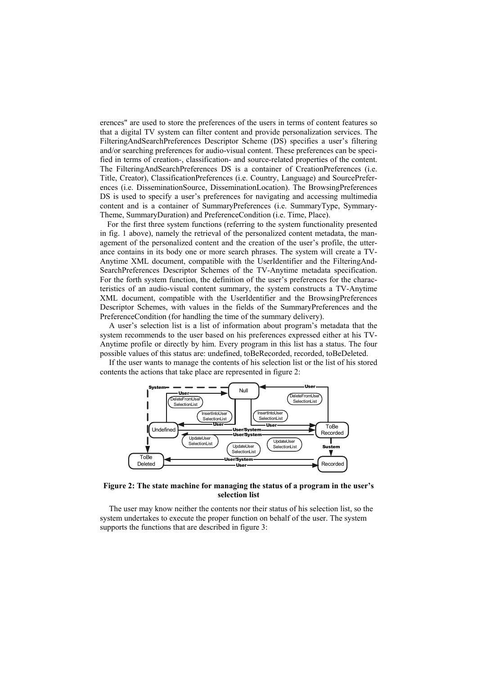erences" are used to store the preferences of the users in terms of content features so that a digital TV system can filter content and provide personalization services. The FilteringAndSearchPreferences Descriptor Scheme (DS) specifies a user's filtering and/or searching preferences for audio-visual content. These preferences can be specified in terms of creation-, classification- and source-related properties of the content. The FilteringAndSearchPreferences DS is a container of CreationPreferences (i.e. Title, Creator), ClassificationPreferences (i.e. Country, Language) and SourcePreferences (i.e. DisseminationSource, DisseminationLocation). The BrowsingPreferences DS is used to specify a user's preferences for navigating and accessing multimedia content and is a container of SummaryPreferences (i.e. SummaryType, Symmary-Theme, SummaryDuration) and PreferenceCondition (i.e. Time, Place).

For the first three system functions (referring to the system functionality presented in fig. 1 above), namely the retrieval of the personalized content metadata, the management of the personalized content and the creation of the user's profile, the utterance contains in its body one or more search phrases. The system will create a TV-Anytime XML document, compatible with the UserIdentifier and the FilteringAnd-SearchPreferences Descriptor Schemes of the TV-Anytime metadata specification. For the forth system function, the definition of the user's preferences for the characteristics of an audio-visual content summary, the system constructs a TV-Anytime XML document, compatible with the UserIdentifier and the BrowsingPreferences Descriptor Schemes, with values in the fields of the SummaryPreferences and the PreferenceCondition (for handling the time of the summary delivery).

A user's selection list is a list of information about program's metadata that the system recommends to the user based on his preferences expressed either at his TV-Anytime profile or directly by him. Every program in this list has a status. The four possible values of this status are: undefined, toBeRecorded, recorded, toBeDeleted.

If the user wants to manage the contents of his selection list or the list of his stored contents the actions that take place are represented in figure 2:



**Figure 2: The state machine for managing the status of a program in the user's selection list** 

The user may know neither the contents nor their status of his selection list, so the system undertakes to execute the proper function on behalf of the user. The system supports the functions that are described in figure 3: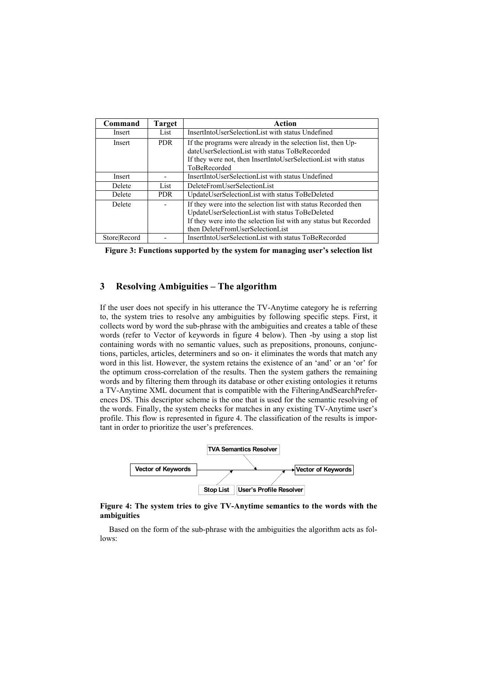| Command      | Target         | Action                                                                                                                                                                                                                     |
|--------------|----------------|----------------------------------------------------------------------------------------------------------------------------------------------------------------------------------------------------------------------------|
| Insert       | List           | InsertIntoUserSelectionList with status Undefined                                                                                                                                                                          |
| Insert       | <b>PDR</b>     | If the programs were already in the selection list, then Up-<br>dateUserSelectionList with status ToBeRecorded                                                                                                             |
|              |                | If they were not, then InsertIntoUserSelectionList with status<br>ToBeRecorded                                                                                                                                             |
| Insert       |                | InsertIntoUserSelectionList with status Undefined                                                                                                                                                                          |
| Delete       | List           | DeleteFromUserSelectionList                                                                                                                                                                                                |
| Delete       | <b>PDR</b>     | UpdateUserSelectionList with status ToBeDeleted                                                                                                                                                                            |
| Delete       | $\overline{a}$ | If they were into the selection list with status Recorded then<br>UpdateUserSelectionList with status ToBeDeleted<br>If they were into the selection list with any status but Recorded<br>then DeleteFromUserSelectionList |
| Store Record |                | InsertIntoUserSelectionList with status ToBeRecorded                                                                                                                                                                       |

**Figure 3: Functions supported by the system for managing user's selection list**

# **3 Resolving Ambiguities – The algorithm**

If the user does not specify in his utterance the TV-Anytime category he is referring to, the system tries to resolve any ambiguities by following specific steps. First, it collects word by word the sub-phrase with the ambiguities and creates a table of these words (refer to Vector of keywords in figure 4 below). Then -by using a stop list containing words with no semantic values, such as prepositions, pronouns, conjunctions, particles, articles, determiners and so on- it eliminates the words that match any word in this list. However, the system retains the existence of an 'and' or an 'or' for the optimum cross-correlation of the results. Then the system gathers the remaining words and by filtering them through its database or other existing ontologies it returns a TV-Anytime XML document that is compatible with the FilteringAndSearchPreferences DS. This descriptor scheme is the one that is used for the semantic resolving of the words. Finally, the system checks for matches in any existing TV-Anytime user's profile. This flow is represented in figure 4. The classification of the results is important in order to prioritize the user's preferences.



#### **Figure 4: The system tries to give TV-Anytime semantics to the words with the ambiguities**

Based on the form of the sub-phrase with the ambiguities the algorithm acts as follows: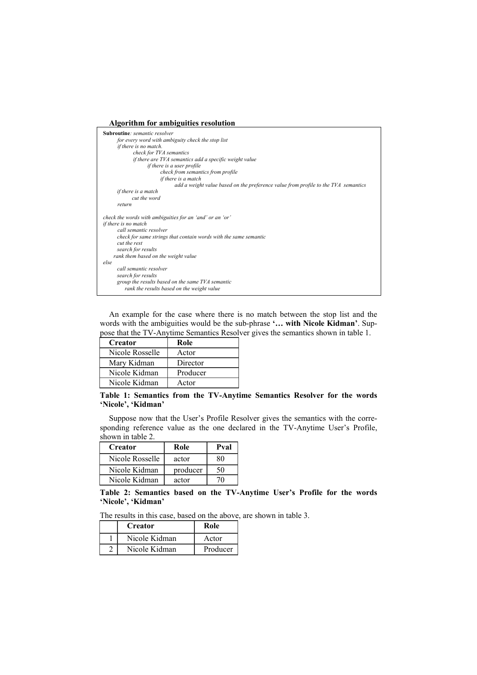#### **Algorithm for ambiguities resolution**

| <b>Subroutine:</b> semantic resolver                                               |  |
|------------------------------------------------------------------------------------|--|
| for every word with ambiguity check the stop list                                  |  |
| if there is no match.                                                              |  |
| check for TVA semantics                                                            |  |
| if there are TVA semantics add a specific weight value                             |  |
| if there is a user profile                                                         |  |
| check from semantics from profile                                                  |  |
| if there is a match                                                                |  |
| add a weight value based on the preference value from profile to the TVA semantics |  |
| if there is a match                                                                |  |
| cut the word                                                                       |  |
| return                                                                             |  |
| check the words with ambiguities for an 'and' or an 'or'                           |  |
| if there is no match                                                               |  |
| call semantic resolver                                                             |  |
| check for same strings that contain words with the same semantic                   |  |
| cut the rest                                                                       |  |
| search for results                                                                 |  |
| rank them based on the weight value                                                |  |
| else                                                                               |  |
| call semantic resolver                                                             |  |
| search for results                                                                 |  |
| group the results based on the same TVA semantic                                   |  |
|                                                                                    |  |

An example for the case where there is no match between the stop list and the words with the ambiguities would be the sub-phrase **'… with Nicole Kidman'**. Suppose that the TV-Anytime Semantics Resolver gives the semantics shown in table 1.

| <b>Creator</b>  | Role     |
|-----------------|----------|
| Nicole Rosselle | Actor    |
| Mary Kidman     | Director |
| Nicole Kidman   | Producer |
| Nicole Kidman   | Actor    |

#### **Table 1: Semantics from the TV-Anytime Semantics Resolver for the words 'Nicole', 'Kidman'**

Suppose now that the User's Profile Resolver gives the semantics with the corresponding reference value as the one declared in the TV-Anytime User's Profile, shown in table 2.

| Creator         | Role     | Pval |
|-----------------|----------|------|
| Nicole Rosselle | actor    | 80   |
| Nicole Kidman   | producer | 50   |
| Nicole Kidman   | actor    |      |

**Table 2: Semantics based on the TV-Anytime User's Profile for the words 'Nicole', 'Kidman'** 

The results in this case, based on the above, are shown in table 3.

| <b>Creator</b> | Role     |
|----------------|----------|
| Nicole Kidman  | Actor    |
| Nicole Kidman  | Producer |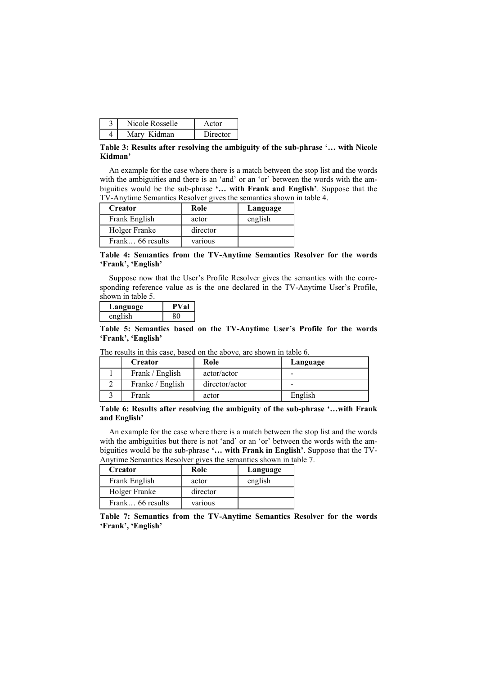| Nicole Rosselle | Actor    |
|-----------------|----------|
| Mary Kidman     | Director |

**Table 3: Results after resolving the ambiguity of the sub-phrase '… with Nicole Kidman'** 

An example for the case where there is a match between the stop list and the words with the ambiguities and there is an 'and' or an 'or' between the words with the ambiguities would be the sub-phrase **'… with Frank and English'**. Suppose that the TV-Anytime Semantics Resolver gives the semantics shown in table 4.

| <b>Creator</b>   | Role     | Language |
|------------------|----------|----------|
| Frank English    | actor    | english  |
| Holger Franke    | director |          |
| Frank 66 results | various  |          |

**Table 4: Semantics from the TV-Anytime Semantics Resolver for the words 'Frank', 'English'** 

Suppose now that the User's Profile Resolver gives the semantics with the corresponding reference value as is the one declared in the TV-Anytime User's Profile, shown in table 5.

| Language |  |
|----------|--|
| english  |  |

#### **Table 5: Semantics based on the TV-Anytime User's Profile for the words 'Frank', 'English'**

| <b>Creator</b>   | Role           | Language |
|------------------|----------------|----------|
| Frank / English  | actor/actor    | -        |
| Franke / English | director/actor |          |
| Frank            | actor          | English  |

The results in this case, based on the above, are shown in table 6.

### **Table 6: Results after resolving the ambiguity of the sub-phrase '…with Frank and English'**

An example for the case where there is a match between the stop list and the words with the ambiguities but there is not 'and' or an 'or' between the words with the ambiguities would be the sub-phrase **'… with Frank in English'**. Suppose that the TV-Anytime Semantics Resolver gives the semantics shown in table 7.

| <b>Creator</b>   | Role     | Language |
|------------------|----------|----------|
| Frank English    | actor    | english  |
| Holger Franke    | director |          |
| Frank 66 results | various  |          |

**Table 7: Semantics from the TV-Anytime Semantics Resolver for the words 'Frank', 'English'**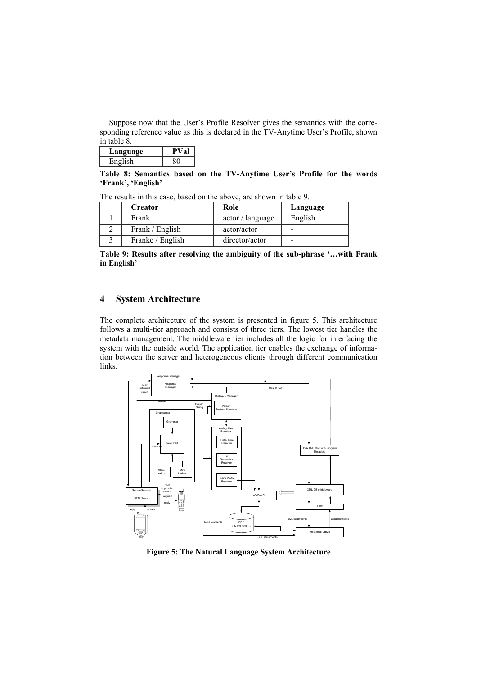Suppose now that the User's Profile Resolver gives the semantics with the corresponding reference value as this is declared in the TV-Anytime User's Profile, shown in table 8.

| опаде |  |
|-------|--|
| ish   |  |

**Table 8: Semantics based on the TV-Anytime User's Profile for the words 'Frank', 'English'** 

The results in this case, based on the above, are shown in table 9.

| <b>Creator</b>   | Role             | Language |
|------------------|------------------|----------|
| Frank            | actor / language | English  |
| Frank / English  | actor/actor      |          |
| Franke / English | director/actor   |          |

**Table 9: Results after resolving the ambiguity of the sub-phrase '…with Frank in English'** 

# **4 System Architecture**

The complete architecture of the system is presented in figure 5. This architecture follows a multi-tier approach and consists of three tiers. The lowest tier handles the metadata management. The middleware tier includes all the logic for interfacing the system with the outside world. The application tier enables the exchange of information between the server and heterogeneous clients through different communication links.



**Figure 5: The Natural Language System Architecture**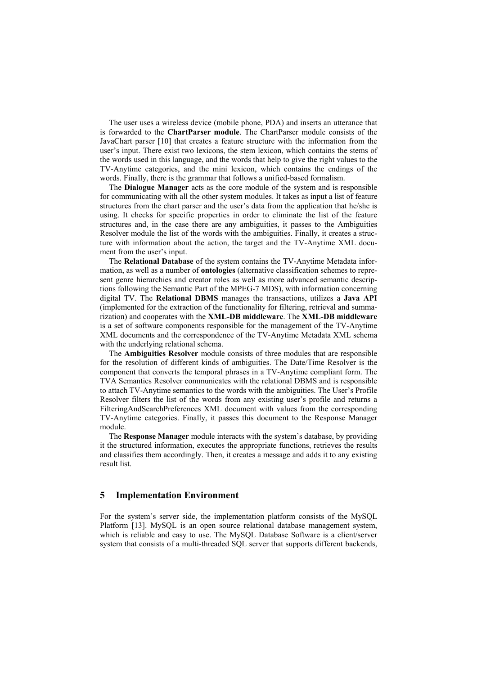The user uses a wireless device (mobile phone, PDA) and inserts an utterance that is forwarded to the **ChartParser module**. The ChartParser module consists of the JavaChart parser [10] that creates a feature structure with the information from the user's input. There exist two lexicons, the stem lexicon, which contains the stems of the words used in this language, and the words that help to give the right values to the TV-Anytime categories, and the mini lexicon, which contains the endings of the words. Finally, there is the grammar that follows a unified-based formalism.

The **Dialogue Manager** acts as the core module of the system and is responsible for communicating with all the other system modules. It takes as input a list of feature structures from the chart parser and the user's data from the application that he/she is using. It checks for specific properties in order to eliminate the list of the feature structures and, in the case there are any ambiguities, it passes to the Ambiguities Resolver module the list of the words with the ambiguities. Finally, it creates a structure with information about the action, the target and the TV-Anytime XML document from the user's input.

The **Relational Database** of the system contains the TV-Anytime Metadata information, as well as a number of **ontologies** (alternative classification schemes to represent genre hierarchies and creator roles as well as more advanced semantic descriptions following the Semantic Part of the MPEG-7 MDS), with information concerning digital TV. The **Relational DBMS** manages the transactions, utilizes a **Java API** (implemented for the extraction of the functionality for filtering, retrieval and summarization) and cooperates with the **XML-DB middleware**. The **XML-DB middleware** is a set of software components responsible for the management of the TV-Anytime XML documents and the correspondence of the TV-Anytime Metadata XML schema with the underlying relational schema.

The **Ambiguities Resolver** module consists of three modules that are responsible for the resolution of different kinds of ambiguities. The Date/Time Resolver is the component that converts the temporal phrases in a TV-Anytime compliant form. The TVA Semantics Resolver communicates with the relational DBMS and is responsible to attach TV-Anytime semantics to the words with the ambiguities. The User's Profile Resolver filters the list of the words from any existing user's profile and returns a FilteringAndSearchPreferences XML document with values from the corresponding TV-Anytime categories. Finally, it passes this document to the Response Manager module.

The **Response Manager** module interacts with the system's database, by providing it the structured information, executes the appropriate functions, retrieves the results and classifies them accordingly. Then, it creates a message and adds it to any existing result list.

## **5 Implementation Environment**

For the system's server side, the implementation platform consists of the MySQL Platform [13]. MySQL is an open source relational database management system, which is reliable and easy to use. The MySQL Database Software is a client/server system that consists of a multi-threaded SQL server that supports different backends,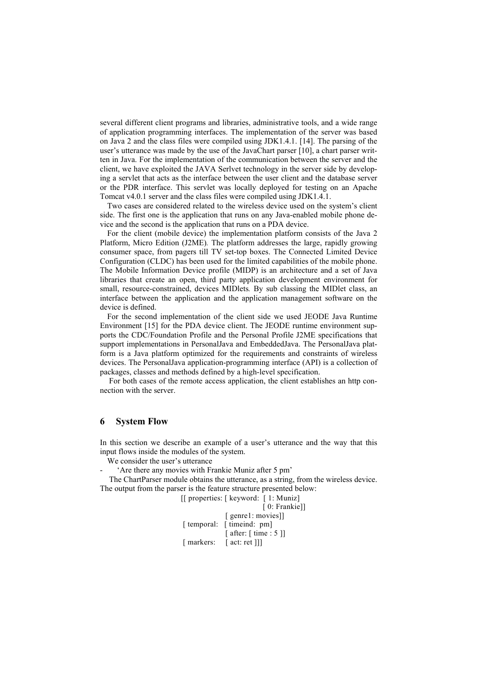several different client programs and libraries, administrative tools, and a wide range of application programming interfaces. The implementation of the server was based on Java 2 and the class files were compiled using JDK1.4.1. [14]. The parsing of the user's utterance was made by the use of the JavaChart parser [10], a chart parser written in Java. For the implementation of the communication between the server and the client, we have exploited the JAVA Serlvet technology in the server side by developing a servlet that acts as the interface between the user client and the database server or the PDR interface. This servlet was locally deployed for testing on an Apache Tomcat v4.0.1 server and the class files were compiled using JDK1.4.1.

Two cases are considered related to the wireless device used on the system's client side. The first one is the application that runs on any Java-enabled mobile phone device and the second is the application that runs on a PDA device.

For the client (mobile device) the implementation platform consists of the Java 2 Platform, Micro Edition (J2ME)*.* The platform addresses the large, rapidly growing consumer space, from pagers till TV set-top boxes. The Connected Limited Device Configuration (CLDC) has been used for the limited capabilities of the mobile phone. The Mobile Information Device profile (MIDP) is an architecture and a set of Java libraries that create an open, third party application development environment for small, resource-constrained, devices MIDlets*.* By sub classing the MIDlet class, an interface between the application and the application management software on the device is defined.

For the second implementation of the client side we used JEODE Java Runtime Environment [15] for the PDA device client. The JEODE runtime environment supports the CDC/Foundation Profile and the Personal Profile J2ME specifications that support implementations in PersonalJava and EmbeddedJava. The PersonalJava platform is a Java platform optimized for the requirements and constraints of wireless devices. The PersonalJava application-programming interface (API) is a collection of packages, classes and methods defined by a high-level specification.

For both cases of the remote access application, the client establishes an http connection with the server.

### **6 System Flow**

In this section we describe an example of a user's utterance and the way that this input flows inside the modules of the system.

We consider the user's utterance

- 'Are there any movies with Frankie Muniz after 5 pm'

The ChartParser module obtains the utterance, as a string, from the wireless device. The output from the parser is the feature structure presented below:

|          | [[ properties: [ keyword: [ 1: Muniz]   |
|----------|-----------------------------------------|
|          | [0: Frankie]]                           |
|          | [genre1: movies]]                       |
|          | [temporal: [timeind: pm]                |
|          | [ after: $\lceil$ time : 5 ]]           |
| markers: | $\lceil$ act: ret $\lceil \cdot \rceil$ |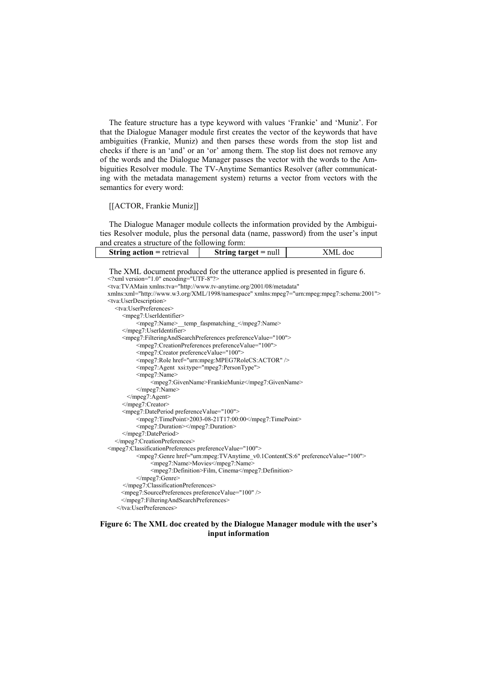The feature structure has a type keyword with values 'Frankie' and 'Muniz'. For that the Dialogue Manager module first creates the vector of the keywords that have ambiguities (Frankie, Muniz) and then parses these words from the stop list and checks if there is an 'and' or an 'or' among them. The stop list does not remove any of the words and the Dialogue Manager passes the vector with the words to the Ambiguities Resolver module. The TV-Anytime Semantics Resolver (after communicating with the metadata management system) returns a vector from vectors with the semantics for every word:

#### [[ACTOR, Frankie Muniz]]

The Dialogue Manager module collects the information provided by the Ambiguities Resolver module, plus the personal data (name, password) from the user's input and creates a structure of the following form:

| <b>String action</b> = retrieval | <b>String target</b> $=$ null | XML doc |
|----------------------------------|-------------------------------|---------|
|                                  |                               |         |

The XML document produced for the utterance applied is presented in figure 6. <?xml version="1.0" encoding="UTF-8"?> <tva:TVAMain xmlns:tva="http://www.tv-anytime.org/2001/08/metadata" xmlns:xml="http://www.w3.org/XML/1998/namespace" xmlns:mpeg7="urn:mpeg:mpeg7:schema:2001"> <tva:UserDescription> <tva:UserPreferences> <mpeg7:UserIdentifier> <mpeg7:Name>\_\_temp\_faspmatching\_</mpeg7:Name>  $\leq$ mpeg7:UserIdentifier> <mpeg7:FilteringAndSearchPreferences preferenceValue="100"> <mpeg7:CreationPreferences preferenceValue="100"> <mpeg7:Creator preferenceValue="100"> <mpeg7:Role href="urn:mpeg:MPEG7RoleCS:ACTOR" /> <mpeg7:Agent xsi:type="mpeg7:PersonType"> <mpeg7:Name> <mpeg7:GivenName>FrankieMuniz</mpeg7:GivenName> </mpeg7:Name> </mpeg7:Agent> </mpeg7:Creator> <mpeg7:DatePeriod preferenceValue="100">  $\leq$ mpeg7:TimePoint>2003-08-21T17:00:00 $\leq$ mpeg7:TimePoint> <mpeg7:Duration></mpeg7:Duration> </mpeg7:DatePeriod> </mpeg7:CreationPreferences> <mpeg7:ClassificationPreferences preferenceValue="100"> <mpeg7:Genre href="urn:mpeg:TVAnytime\_v0.1ContentCS:6" preferenceValue="100"> <mpeg7:Name>Movies</mpeg7:Name> <mpeg7:Definition>Film, Cinema</mpeg7:Definition> </mpeg7:Genre> </mpeg7:ClassificationPreferences> <mpeg7:SourcePreferences preferenceValue="100" /> </mpeg7:FilteringAndSearchPreferences> </tva:UserPreferences>

**Figure 6: The XML doc created by the Dialogue Manager module with the user's input information**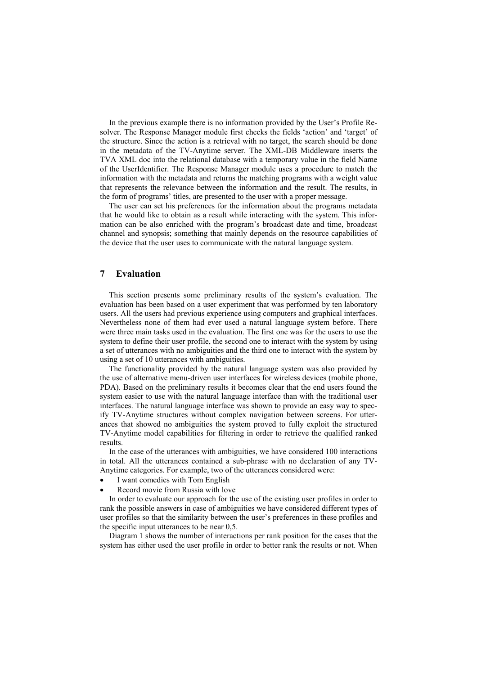In the previous example there is no information provided by the User's Profile Resolver. The Response Manager module first checks the fields 'action' and 'target' of the structure. Since the action is a retrieval with no target, the search should be done in the metadata of the TV-Anytime server. The XML-DB Middleware inserts the TVA XML doc into the relational database with a temporary value in the field Name of the UserIdentifier. The Response Manager module uses a procedure to match the information with the metadata and returns the matching programs with a weight value that represents the relevance between the information and the result. The results, in the form of programs' titles, are presented to the user with a proper message.

The user can set his preferences for the information about the programs metadata that he would like to obtain as a result while interacting with the system. This information can be also enriched with the program's broadcast date and time, broadcast channel and synopsis; something that mainly depends on the resource capabilities of the device that the user uses to communicate with the natural language system.

### **7 Evaluation**

This section presents some preliminary results of the system's evaluation. The evaluation has been based on a user experiment that was performed by ten laboratory users. All the users had previous experience using computers and graphical interfaces. Nevertheless none of them had ever used a natural language system before. There were three main tasks used in the evaluation. The first one was for the users to use the system to define their user profile, the second one to interact with the system by using a set of utterances with no ambiguities and the third one to interact with the system by using a set of 10 utterances with ambiguities.

The functionality provided by the natural language system was also provided by the use of alternative menu-driven user interfaces for wireless devices (mobile phone, PDA). Based on the preliminary results it becomes clear that the end users found the system easier to use with the natural language interface than with the traditional user interfaces. The natural language interface was shown to provide an easy way to specify TV-Anytime structures without complex navigation between screens. For utterances that showed no ambiguities the system proved to fully exploit the structured TV-Anytime model capabilities for filtering in order to retrieve the qualified ranked results.

In the case of the utterances with ambiguities, we have considered 100 interactions in total. All the utterances contained a sub-phrase with no declaration of any TV-Anytime categories. For example, two of the utterances considered were:

- I want comedies with Tom English
- Record movie from Russia with love

In order to evaluate our approach for the use of the existing user profiles in order to rank the possible answers in case of ambiguities we have considered different types of user profiles so that the similarity between the user's preferences in these profiles and the specific input utterances to be near 0,5.

Diagram 1 shows the number of interactions per rank position for the cases that the system has either used the user profile in order to better rank the results or not. When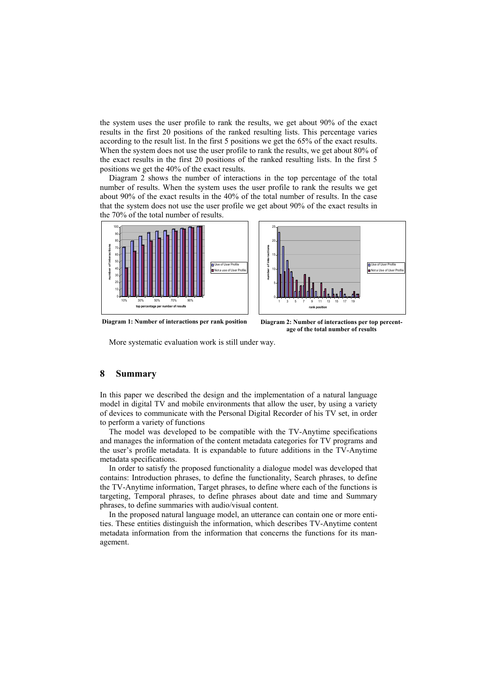the system uses the user profile to rank the results, we get about 90% of the exact results in the first 20 positions of the ranked resulting lists. This percentage varies according to the result list. In the first 5 positions we get the 65% of the exact results. When the system does not use the user profile to rank the results, we get about 80% of the exact results in the first 20 positions of the ranked resulting lists. In the first 5 positions we get the 40% of the exact results.

Diagram 2 shows the number of interactions in the top percentage of the total number of results. When the system uses the user profile to rank the results we get about 90% of the exact results in the 40% of the total number of results. In the case that the system does not use the user profile we get about 90% of the exact results in the 70% of the total number of results.



**Diagram 1: Number of interactions per rank position** 



More systematic evaluation work is still under way.

### **8 Summary**

In this paper we described the design and the implementation of a natural language model in digital TV and mobile environments that allow the user, by using a variety of devices to communicate with the Personal Digital Recorder of his TV set, in order to perform a variety of functions

The model was developed to be compatible with the TV-Anytime specifications and manages the information of the content metadata categories for TV programs and the user's profile metadata. It is expandable to future additions in the TV-Anytime metadata specifications.

In order to satisfy the proposed functionality a dialogue model was developed that contains: Introduction phrases, to define the functionality, Search phrases, to define the TV-Anytime information, Target phrases, to define where each of the functions is targeting, Temporal phrases, to define phrases about date and time and Summary phrases, to define summaries with audio/visual content.

In the proposed natural language model, an utterance can contain one or more entities. These entities distinguish the information, which describes TV-Anytime content metadata information from the information that concerns the functions for its management.